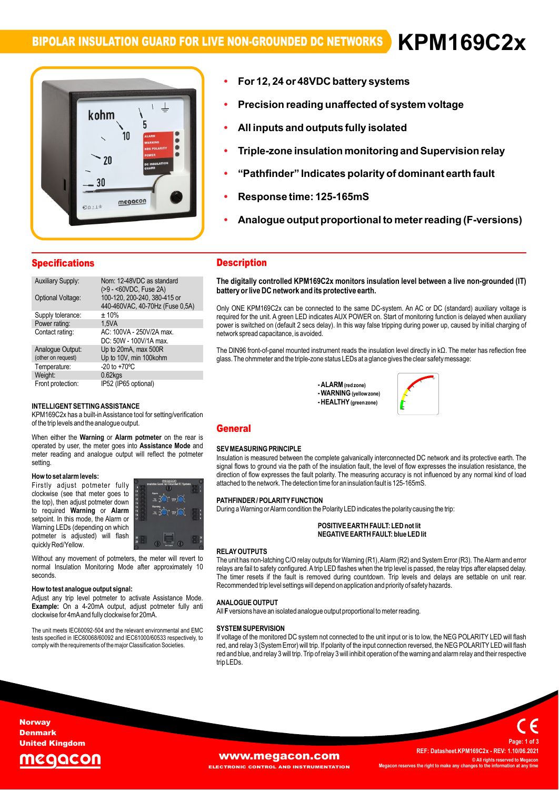### **BIPOLAR INSULATION GUARD FOR LIVE NON-GROUNDED DC NETWORKS ïForV**



# **12, <sup>24</sup> or48 battery systems Precisionï**

- **All inputs and outputs fully isolated ïreading unaffected of system voltage**
- **All inputs a ï**
- **insulation monitoring andSupervision relay ìPathfinderî Indicates polarity of dominant earth fault ï**
- **Response time: 125-165mS ï**
- **Response ï**
- $\mathbf{p}$ onse time: 125-165mS<br>alogue output proportional to meter reading (F-versions)

| <b>Specifications</b>    |                                                                 |
|--------------------------|-----------------------------------------------------------------|
| <b>Auxiliary Supply:</b> | Nom: 12-48VDC as standard<br>(>9 - <60VDC, Fuse 2A)             |
| Optional Voltage:        | 100-120, 200-240, 380-415 or<br>440-460VAC, 40-70Hz (Fuse 0,5A) |
| Supply tolerance:        | ±10%                                                            |
| Power rating:            | 1.5VA                                                           |
| Contact rating:          | AC: 100VA - 250V/2A max.<br>DC: 50W - 100V/1A max.              |
| Analogue Output:         | Up to 20mA, max 500R                                            |
| (other on request)       | Up to 10V, min 100kohm                                          |
| Temperature:             | $-20$ to $+70^{\circ}$ C                                        |
| Weight:                  | $0.62$ <sub>kgs</sub>                                           |
| Front protection:        | IP52 (IP65 optional)                                            |

### $k = 1, k = 2$ of

of the trip levels and the analogue output. **Alarm potmeter** on the **T SETTING ASSISTANCE**<br>has a built-in Assistance tool for setting/verification IN LELLIGENT SETTING ASSISTANCE<br>KPM169C2x has a built-in Assistance tool for<br>of the trip levels and the analogue output. of the trip levels and the analogue output.<br>When either the **Warning or Alarm potmeter** on the rear is

the rear is<br>**Mode** and **by UG**<br>When either the **Warning** or Alarm potmeter on the rear is<br>operated by user, the meter goes into Assistance Mode and operated by user, the meter goes into **Assistance Mode** and meter reading and analogue output will reflect the potmeter setting. setting.<br>**How to set alarm levels:** 

### e<mark>talarmlevels:</mark><br>adjust potmeter fully **contrary** now to se

**EXECUTE:** THE RESIDENT MANUSE POINT AND THE MOVING THE RESIDENCE ASSESSMENT OF THE RESIDENCE AND THE RESIDENCE A<br>The top), then adjust potmeter down **Alarm in the Substantial Control of the Substantial Control of the Substantial Control of the Substantial Control of the Substantial Control of the Substantial Control of the Substantial Control of the Substantial Control** now to set alarm levels:<br>Firstly adjust potmeter fully with the set of the set of the set of the set of the set of the set of the set o<br>clockwise (see that meter ooes to """") required variables to the top), then adjust potmeter down<br>to required **Warning** or **Alarm**<br>setpoint. In this mode, the Alarm or<br>Warning LEDs (depending on which vvarning LEDS (dependin<br>potmeter is adjusted)<br>quickly Red/Yellow. to required Warning or Alarm setpoint. In this mode, the Alarm or selpoint. In this mode, the Alamn or<br>Warning LEDs (depending on which<br>potmeter is adjusted) will flash



quickly Red/Yellow.<br>
Without any movement of potmeters, the meter will revert to The<br>
normal Insulation Monitoring Mode after approximately 10 seconds

clockwise for 4mA and fully clockwise for 20mA. **the weight of the signal: help weight of the signal:** Adjust any trip level potmeter to activate Assistance Mode. **How to test analogue output signal:**<br>Adjust any trip level potmeter to activate Assistance Mode.<br>**Example:** On a 4-20mA output, adjust potmeter fully anti y trip lever potmeter to activate A<br>On a 4-20mA output, adjust po<br>for 4mAand fully clockwise for 20mA.

unit meets IEC60092-504 and the relevant environmental and EMC SYST.<br>The unit meets IEC60092-504 and the relevant environmental and EMC SYST The unit meets IEC60092-504 and the relevant environmental and EMC SY<br>tests specified in IEC60068/60092 and IEC61000/60533 respectively, to If v<br>comply with the requirements of the major Classification Societies. The

## Description **The**

**Description**<br>The digitally controlled KPM169C2x monitors insulation level between a live non-grounded (IT)<br>battery or live DC network and its protective earth.

Dattery or five DC fletwork and its protective earth.<br>Only ONE KPM169C2x can be connected to the same DC-system. An AC or DC (standard) auxiliary voltage is<br>required for the unit. A green LED indicates AUX POWER on. Start required for the unit. A green LED indicates AUX POWER on. Start of monitoring function is delayed when auxiliary power is switched on (default 2 secs delay). In this way false tripping during power up, caused by initial charging of<br>network spread capacitance, is avoided.

network spread capachance, is avoided.<br>The DIN96 front-of-panel mounted instrument reads the insulation level directly in kΩ. The meter has reflection free<br>dlass. The ohmmeter and the triple-zone status LEDs at a dlance g

= ALARM (red zone)<br>**- WARNING** (yellow zone)<br>**- HEALTHY** (areen zone) **-AI ARM** (red zone) **)**



### General **SECRETARY**

### **SEV MEASURING PRINCIPLE**

attached to the network. The detection time for an insulation fault is 125-165mS. **SEV MEASURING PRINCIPLE**<br>Insulation is measured between the complete galvanically interconnected DC network and its protective earth. The<br>signal flows to ground via the path of the insulation fault, the level of flow expr msulation is measured between the complete galvanically interconnected DC hetwork and its protective earth. The<br>signal flows to ground via the path of the insulation fault, the level of flow expresses the insulation resist

# anached to the helwork. The detection time for arrins<br>PATHFINDER / POLARITY FUNCTION

**INDER / POLARITY FUNCTION**<br>a Warning or Alarm condition the Polarity LED indicates the polarity causing the trip:

# e Polanty LED indicates the polanty causing<br>**POSITIVE EARTH FAULT: LED not lit EARTHFAULT: blue LEDlit**

### **RELAY OUTPUTS**

Recommended trip level settings will depend on application and priority of safety hazards. **RELAY OUTPUTS**<br>The unit has non-latching C/O relay outputs for Warning (R1), Alarm (R2) and System Error (R3). The Alarm and error<br>relays are fail to safety configured. A trip LED flashes when the trip level is passed. th relays are fail to safety configured. A trip LED flashes when the trip level is passed, the relay trips after elapsed delay. The timer resets if the fault is removed during countdown. Trip levels and delays are settable on unit rear.

## **F**All

**ANALOGUE OUTPUT**<br>All **F** versions have an isolated analogue output proportional to meter reading.

### **SYSTEM SUPERVISION**

**SYSTEM SUPERVISION**<br>If voltage of the monitored DC system not connected to the unit input or is to low, the NEG POLARITY LED will flash<br>red. and relav 3 (System Error) will trip. If polarity of the input connection revers n voltage of the monitored DC system not connected to the unit liput of is to low, the NEG POLARITY LED will hash<br>red, and relay 3 (System Error) will trip. If polarity of the input connection reversed, the NEG POLARITY LE

## **Norway** Denmark United Kingdom

# eaacol

# **WWW.Megacon.com**<br>ECTRONIC CONTROL AND INSTRUMENTATION Megacon reserves the right to make any cha

**EL AND INSTRUMENTATION** 

**REF: Datasheet.KPM169C2x - REV: 1.10/06.2021 ©ALL REF: Datasheet.KPM169C2x - REV: 1.10/06.2021<br>© All rights reserved to Megacon C** All rights reserved to Me **<sup>1</sup> of <sup>3</sup>**

**Page:**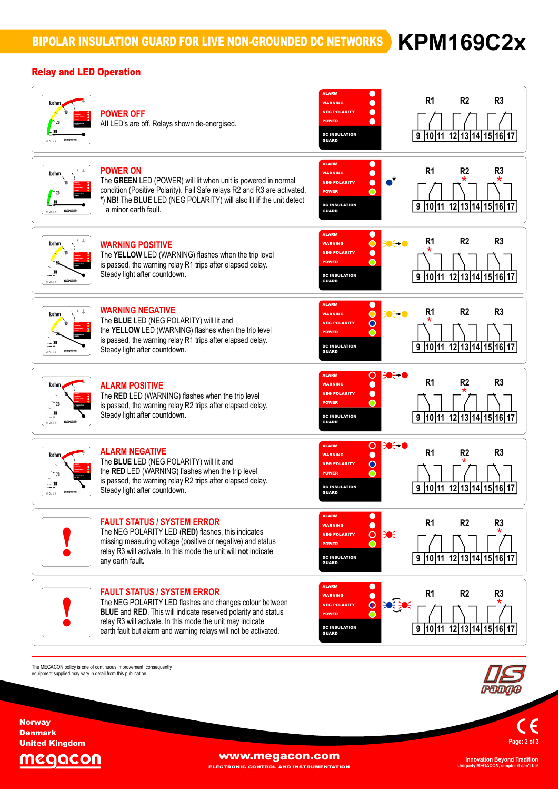## Relay and LED Operation



The MEGACON policy is one of continuous improvement, consequently<br>equipment supplied may vary in detail from this publication.

**Page:<sup>2</sup> of <sup>3</sup>**

MEGACON

**Norway** Denmark United Kingdom

**WWW.megacon.com** 

ELECTRONIC CONTROL AND INSTRUMENTATION

**Uniquely MEGACON, simpler it can't be!**